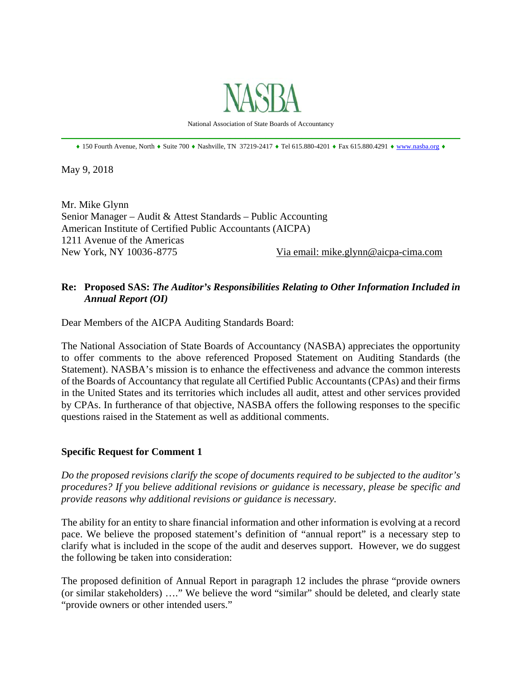

National Association of State Boards of Accountancy \_\_\_\_\_\_\_\_\_\_\_\_\_\_\_\_\_\_\_\_\_\_\_\_\_\_\_\_\_\_\_\_\_\_\_\_\_\_\_\_\_\_\_\_\_\_\_\_\_\_\_\_\_\_\_\_\_\_\_\_\_\_\_\_\_\_\_\_\_\_\_\_\_\_\_\_\_\_

 $\bullet$  150 Fourth Avenue, North  $\bullet$  Suite 700  $\bullet$  Nashville, TN 37219-2417  $\bullet$  Tel 615.880-4201  $\bullet$  Fax 615.880.4291  $\bullet$  www.nasba.org  $\bullet$ 

May 9, 2018

Mr. Mike Glynn Senior Manager – Audit & Attest Standards – Public Accounting American Institute of Certified Public Accountants (AICPA) 1211 Avenue of the Americas New York, NY 10036 -8775 Via email: mike.glynn@aicpa-cima.com

### **Re: Proposed SAS:** *The Auditor's Responsibilities Relating to Other Information Included in Annual Report (OI)*

Dear Members of the AICPA Auditing Standards Board:

The National Association of State Boards of Accountancy (NASBA) appreciates the opportunity to offer comments to the above referenced Proposed Statement on Auditing Standards (the Statement). NASBA's mission is to enhance the effectiveness and advance the common interests of the Boards of Accountancy that regulate all Certified Public Accountants (CPAs) and their firms in the United States and its territories which includes all audit, attest and other services provided by CPAs. In furtherance of that objective, NASBA offers the following responses to the specific questions raised in the Statement as well as additional comments.

#### **Specific Request for Comment 1**

*Do the proposed revisions clarify the scope of documents required to be subjected to the auditor's procedures? If you believe additional revisions or guidance is necessary, please be specific and provide reasons why additional revisions or guidance is necessary.* 

The ability for an entity to share financial information and other information is evolving at a record pace. We believe the proposed statement's definition of "annual report" is a necessary step to clarify what is included in the scope of the audit and deserves support. However, we do suggest the following be taken into consideration:

The proposed definition of Annual Report in paragraph 12 includes the phrase "provide owners (or similar stakeholders) …." We believe the word "similar" should be deleted, and clearly state "provide owners or other intended users."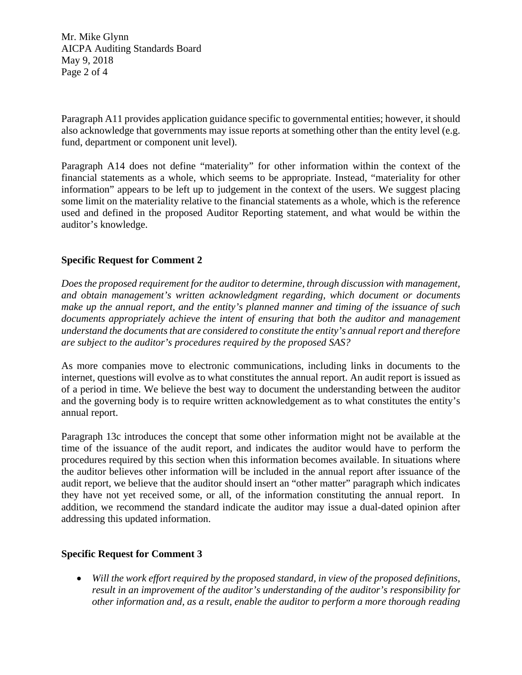Mr. Mike Glynn AICPA Auditing Standards Board May 9, 2018 Page 2 of 4

Paragraph A11 provides application guidance specific to governmental entities; however, it should also acknowledge that governments may issue reports at something other than the entity level (e.g. fund, department or component unit level).

Paragraph A14 does not define "materiality" for other information within the context of the financial statements as a whole, which seems to be appropriate. Instead, "materiality for other information" appears to be left up to judgement in the context of the users. We suggest placing some limit on the materiality relative to the financial statements as a whole, which is the reference used and defined in the proposed Auditor Reporting statement, and what would be within the auditor's knowledge.

# **Specific Request for Comment 2**

*Does the proposed requirement for the auditor to determine, through discussion with management, and obtain management's written acknowledgment regarding, which document or documents make up the annual report, and the entity's planned manner and timing of the issuance of such documents appropriately achieve the intent of ensuring that both the auditor and management understand the documents that are considered to constitute the entity's annual report and therefore are subject to the auditor's procedures required by the proposed SAS?* 

As more companies move to electronic communications, including links in documents to the internet, questions will evolve as to what constitutes the annual report. An audit report is issued as of a period in time. We believe the best way to document the understanding between the auditor and the governing body is to require written acknowledgement as to what constitutes the entity's annual report.

Paragraph 13c introduces the concept that some other information might not be available at the time of the issuance of the audit report, and indicates the auditor would have to perform the procedures required by this section when this information becomes available. In situations where the auditor believes other information will be included in the annual report after issuance of the audit report, we believe that the auditor should insert an "other matter" paragraph which indicates they have not yet received some, or all, of the information constituting the annual report. In addition, we recommend the standard indicate the auditor may issue a dual-dated opinion after addressing this updated information.

#### **Specific Request for Comment 3**

 *Will the work effort required by the proposed standard, in view of the proposed definitions, result in an improvement of the auditor's understanding of the auditor's responsibility for other information and, as a result, enable the auditor to perform a more thorough reading*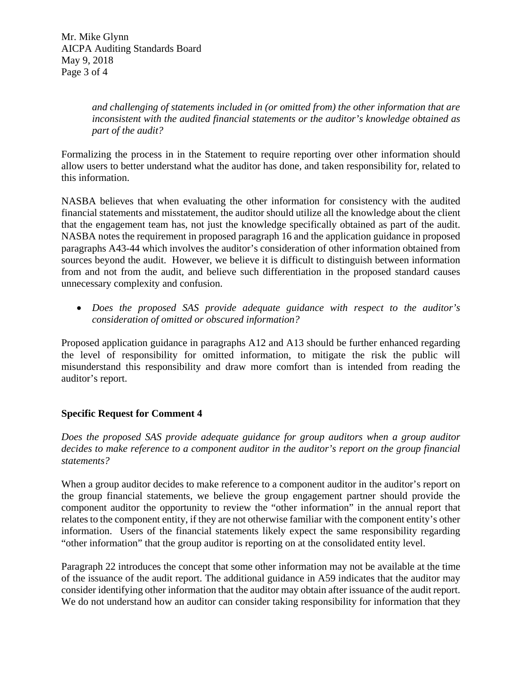Mr. Mike Glynn AICPA Auditing Standards Board May 9, 2018 Page 3 of 4

> *and challenging of statements included in (or omitted from) the other information that are inconsistent with the audited financial statements or the auditor's knowledge obtained as part of the audit?*

Formalizing the process in in the Statement to require reporting over other information should allow users to better understand what the auditor has done, and taken responsibility for, related to this information.

NASBA believes that when evaluating the other information for consistency with the audited financial statements and misstatement, the auditor should utilize all the knowledge about the client that the engagement team has, not just the knowledge specifically obtained as part of the audit. NASBA notes the requirement in proposed paragraph 16 and the application guidance in proposed paragraphs A43-44 which involves the auditor's consideration of other information obtained from sources beyond the audit. However, we believe it is difficult to distinguish between information from and not from the audit, and believe such differentiation in the proposed standard causes unnecessary complexity and confusion.

 *Does the proposed SAS provide adequate guidance with respect to the auditor's consideration of omitted or obscured information?* 

Proposed application guidance in paragraphs A12 and A13 should be further enhanced regarding the level of responsibility for omitted information, to mitigate the risk the public will misunderstand this responsibility and draw more comfort than is intended from reading the auditor's report.

# **Specific Request for Comment 4**

*Does the proposed SAS provide adequate guidance for group auditors when a group auditor decides to make reference to a component auditor in the auditor's report on the group financial statements?* 

When a group auditor decides to make reference to a component auditor in the auditor's report on the group financial statements, we believe the group engagement partner should provide the component auditor the opportunity to review the "other information" in the annual report that relates to the component entity, if they are not otherwise familiar with the component entity's other information. Users of the financial statements likely expect the same responsibility regarding "other information" that the group auditor is reporting on at the consolidated entity level.

Paragraph 22 introduces the concept that some other information may not be available at the time of the issuance of the audit report. The additional guidance in A59 indicates that the auditor may consider identifying other information that the auditor may obtain after issuance of the audit report. We do not understand how an auditor can consider taking responsibility for information that they